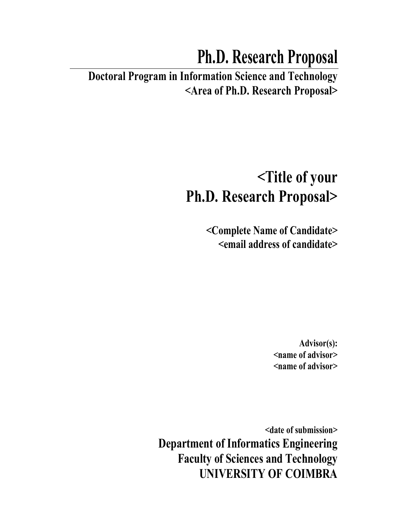# **Ph.D. Research Proposal**

**Doctoral Program in Information Science and Technology <Area of Ph.D. Research Proposal>** 

# **<Title of your Ph.D. Research Proposal>**

**<Complete Name of Candidate> <email address of candidate>** 

> **Advisor(s): <name of advisor> <name of advisor>**

**<date of submission> Department of Informatics Engineering Faculty of Sciences and Technology UNIVERSITY OF COIMBRA**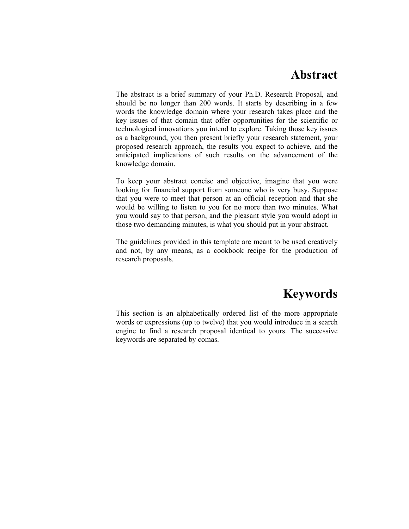### **Abstract**

The abstract is a brief summary of your Ph.D. Research Proposal, and should be no longer than 200 words. It starts by describing in a few words the knowledge domain where your research takes place and the key issues of that domain that offer opportunities for the scientific or technological innovations you intend to explore. Taking those key issues as a background, you then present briefly your research statement, your proposed research approach, the results you expect to achieve, and the anticipated implications of such results on the advancement of the knowledge domain.

To keep your abstract concise and objective, imagine that you were looking for financial support from someone who is very busy. Suppose that you were to meet that person at an official reception and that she would be willing to listen to you for no more than two minutes. What you would say to that person, and the pleasant style you would adopt in those two demanding minutes, is what you should put in your abstract.

The guidelines provided in this template are meant to be used creatively and not, by any means, as a cookbook recipe for the production of research proposals.

# **Keywords**

This section is an alphabetically ordered list of the more appropriate words or expressions (up to twelve) that you would introduce in a search engine to find a research proposal identical to yours. The successive keywords are separated by comas.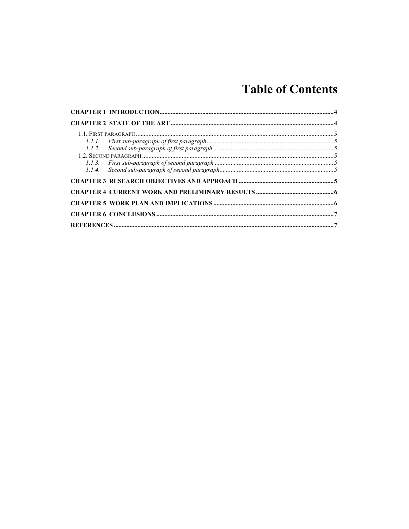# **Table of Contents**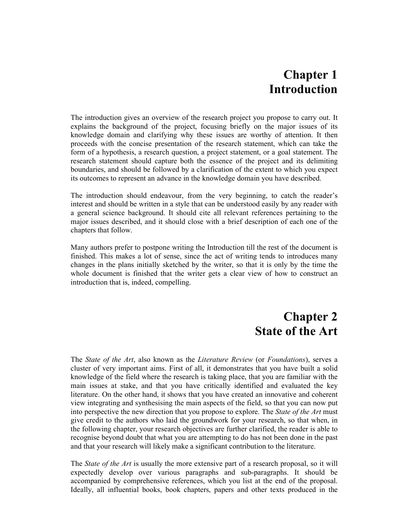# **Chapter 1 Introduction**

The introduction gives an overview of the research project you propose to carry out. It explains the background of the project, focusing briefly on the major issues of its knowledge domain and clarifying why these issues are worthy of attention. It then proceeds with the concise presentation of the research statement, which can take the form of a hypothesis, a research question, a project statement, or a goal statement. The research statement should capture both the essence of the project and its delimiting boundaries, and should be followed by a clarification of the extent to which you expect its outcomes to represent an advance in the knowledge domain you have described.

The introduction should endeavour, from the very beginning, to catch the reader's interest and should be written in a style that can be understood easily by any reader with a general science background. It should cite all relevant references pertaining to the major issues described, and it should close with a brief description of each one of the chapters that follow.

Many authors prefer to postpone writing the Introduction till the rest of the document is finished. This makes a lot of sense, since the act of writing tends to introduces many changes in the plans initially sketched by the writer, so that it is only by the time the whole document is finished that the writer gets a clear view of how to construct an introduction that is, indeed, compelling.

# **Chapter 2 State of the Art**

The *State of the Art*, also known as the *Literature Review* (or *Foundations*), serves a cluster of very important aims. First of all, it demonstrates that you have built a solid knowledge of the field where the research is taking place, that you are familiar with the main issues at stake, and that you have critically identified and evaluated the key literature. On the other hand, it shows that you have created an innovative and coherent view integrating and synthesising the main aspects of the field, so that you can now put into perspective the new direction that you propose to explore. The *State of the Art* must give credit to the authors who laid the groundwork for your research, so that when, in the following chapter, your research objectives are further clarified, the reader is able to recognise beyond doubt that what you are attempting to do has not been done in the past and that your research will likely make a significant contribution to the literature.

The *State of the Art* is usually the more extensive part of a research proposal, so it will expectedly develop over various paragraphs and sub-paragraphs. It should be accompanied by comprehensive references, which you list at the end of the proposal. Ideally, all influential books, book chapters, papers and other texts produced in the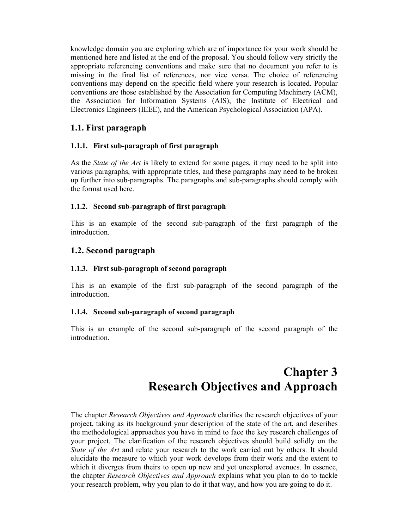knowledge domain you are exploring which are of importance for your work should be mentioned here and listed at the end of the proposal. You should follow very strictly the appropriate referencing conventions and make sure that no document you refer to is missing in the final list of references, nor vice versa. The choice of referencing conventions may depend on the specific field where your research is located. Popular conventions are those established by the Association for Computing Machinery (ACM), the Association for Information Systems (AIS), the Institute of Electrical and Electronics Engineers (IEEE), and the American Psychological Association (APA).

#### **1.1. First paragraph**

#### **1.1.1. First sub-paragraph of first paragraph**

As the *State of the Art* is likely to extend for some pages, it may need to be split into various paragraphs, with appropriate titles, and these paragraphs may need to be broken up further into sub-paragraphs. The paragraphs and sub-paragraphs should comply with the format used here.

#### **1.1.2. Second sub-paragraph of first paragraph**

This is an example of the second sub-paragraph of the first paragraph of the introduction.

#### **1.2. Second paragraph**

#### **1.1.3. First sub-paragraph of second paragraph**

This is an example of the first sub-paragraph of the second paragraph of the introduction.

#### **1.1.4. Second sub-paragraph of second paragraph**

This is an example of the second sub-paragraph of the second paragraph of the introduction.

# **Chapter 3 Research Objectives and Approach**

The chapter *Research Objectives and Approach* clarifies the research objectives of your project, taking as its background your description of the state of the art, and describes the methodological approaches you have in mind to face the key research challenges of your project. The clarification of the research objectives should build solidly on the *State of the Art* and relate your research to the work carried out by others. It should elucidate the measure to which your work develops from their work and the extent to which it diverges from theirs to open up new and yet unexplored avenues. In essence, the chapter *Research Objectives and Approach* explains what you plan to do to tackle your research problem, why you plan to do it that way, and how you are going to do it.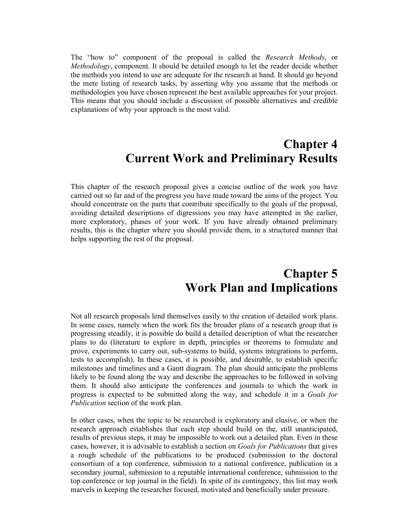The "how to" component of the proposal is called the *Research Methods*, or *Methodology*, component. It should be detailed enough to let the reader decide whether the methods you intend to use are adequate for the research at hand. It should go beyond the mere listing of research tasks, by asserting why you assume that the methods or methodologies you have chosen represent the best available approaches for your project. This means that you should include a discussion of possible alternatives and credible explanations of why your approach is the most valid.

## **Chapter 4 Current Work and Preliminary Results**

This chapter of the research proposal gives a concise outline of the work you have carried out so far and of the progress you have made toward the aims of the project. You should concentrate on the parts that contribute specifically to the goals of the proposal, avoiding detailed descriptions of digressions you may have attempted in the earlier, more exploratory, phases of your work. If you have already obtained preliminary results, this is the chapter where you should provide them, in a structured manner that helps supporting the rest of the proposal.

# **Chapter 5 Work Plan and Implications**

Not all research proposals lend themselves easily to the creation of detailed work plans. In some cases, namely when the work fits the broader plans of a research group that is progressing steadily, it is possible do build a detailed description of what the researcher plans to do (literature to explore in depth, principles or theorems to formulate and prove, experiments to carry out, sub-systems to build, systems integrations to perform, tests to accomplish). In these cases, it is possible, and desirable, to establish specific milestones and timelines and a Gantt diagram. The plan should anticipate the problems likely to be found along the way and describe the approaches to be followed in solving them. It should also anticipate the conferences and journals to which the work in progress is expected to be submitted along the way, and schedule it in a *Goals for Publication* section of the work plan.

In other cases, when the topic to be researched is exploratory and elusive, or when the research approach establishes that each step should build on the, still unanticipated, results of previous steps, it may be impossible to work out a detailed plan. Even in these cases, however, it is advisable to establish a section on *Goals for Publications* that gives a rough schedule of the publications to be produced (submission to the doctoral consortium of a top conference, submission to a national conference, publication in a secondary journal, submission to a reputable international conference, submission to the top conference or top journal in the field). In spite of its contingency, this list may work marvels in keeping the researcher focused, motivated and beneficially under pressure.